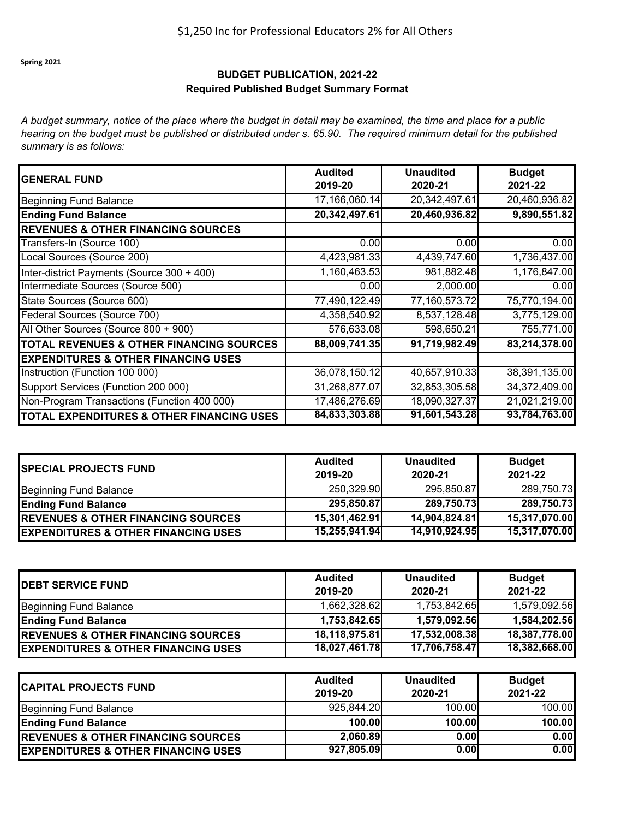## \$1,250 Inc for Professional Educators 2% for All Others

**Spring 2021**

#### **BUDGET PUBLICATION, 2021-22 Required Published Budget Summary Format**

*A budget summary, notice of the place where the budget in detail may be examined, the time and place for a public hearing on the budget must be published or distributed under s. 65.90. The required minimum detail for the published summary is as follows:*

| <b>GENERAL FUND</b>                            | <b>Audited</b><br>2019-20 | <b>Unaudited</b><br>2020-21 | <b>Budget</b><br>2021-22 |
|------------------------------------------------|---------------------------|-----------------------------|--------------------------|
| <b>Beginning Fund Balance</b>                  | 17,166,060.14             | 20,342,497.61               | 20,460,936.82            |
| <b>Ending Fund Balance</b>                     | 20,342,497.61             | 20,460,936.82               | 9,890,551.82             |
| <b>REVENUES &amp; OTHER FINANCING SOURCES</b>  |                           |                             |                          |
| Transfers-In (Source 100)                      | 0.00                      | 0.00                        | 0.00                     |
| Local Sources (Source 200)                     | 4,423,981.33              | 4,439,747.60                | 1,736,437.00             |
| Inter-district Payments (Source 300 + 400)     | 1,160,463.53              | 981,882.48                  | 1,176,847.00             |
| Intermediate Sources (Source 500)              | 0.00                      | 2,000.00                    | 0.00                     |
| State Sources (Source 600)                     | 77,490,122.49             | 77,160,573.72               | 75,770,194.00            |
| Federal Sources (Source 700)                   | 4,358,540.92              | 8,537,128.48                | 3,775,129.00             |
| All Other Sources (Source 800 + 900)           | 576,633.08                | 598,650.21                  | 755,771.00               |
| TOTAL REVENUES & OTHER FINANCING SOURCES       | 88,009,741.35             | 91,719,982.49               | 83,214,378.00            |
| <b>EXPENDITURES &amp; OTHER FINANCING USES</b> |                           |                             |                          |
| Instruction (Function 100 000)                 | 36,078,150.12             | 40,657,910.33               | 38,391,135.00            |
| Support Services (Function 200 000)            | 31,268,877.07             | 32,853,305.58               | 34,372,409.00            |
| Non-Program Transactions (Function 400 000)    | 17,486,276.69             | 18,090,327.37               | 21,021,219.00            |
| TOTAL EXPENDITURES & OTHER FINANCING USES      | 84,833,303.88             | 91,601,543.28               | 93,784,763.00            |

| <b>SPECIAL PROJECTS FUND</b>                   | <b>Audited</b><br>2019-20 | <b>Unaudited</b><br>2020-21 | <b>Budget</b><br>2021-22 |
|------------------------------------------------|---------------------------|-----------------------------|--------------------------|
| Beginning Fund Balance                         | 250,329.90                | 295,850.87                  | 289,750.73               |
| <b>Ending Fund Balance</b>                     | 295,850.87                | 289,750.73                  | 289,750.73               |
| <b>REVENUES &amp; OTHER FINANCING SOURCES</b>  | 15,301,462.91             | 14,904,824.81               | 15,317,070.00            |
| <b>EXPENDITURES &amp; OTHER FINANCING USES</b> | 15,255,941.94             | 14,910,924.95               | 15,317,070.00            |

| <b>IDEBT SERVICE FUND</b>                      | <b>Audited</b><br>2019-20 | <b>Unaudited</b><br>2020-21 | <b>Budget</b><br>2021-22 |
|------------------------------------------------|---------------------------|-----------------------------|--------------------------|
| <b>Beginning Fund Balance</b>                  | 1,662,328.62              | 1,753,842.65                | 1,579,092.56             |
| <b>Ending Fund Balance</b>                     | 1,753,842.65              | 1,579,092.56                | 1,584,202.56             |
| <b>REVENUES &amp; OTHER FINANCING SOURCES</b>  | 18,118,975.81             | 17,532,008.38               | 18,387,778.00            |
| <b>EXPENDITURES &amp; OTHER FINANCING USES</b> | 18,027,461.78             | 17,706,758.47               | 18,382,668.00            |

| <b>CAPITAL PROJECTS FUND</b>                   | <b>Audited</b><br>2019-20 | <b>Unaudited</b><br>2020-21 | <b>Budget</b><br>2021-22 |
|------------------------------------------------|---------------------------|-----------------------------|--------------------------|
| Beginning Fund Balance                         | 925,844.20                | 100.00                      | 100.00                   |
| <b>Ending Fund Balance</b>                     | 100.00                    | 100.00                      | 100.00                   |
| <b>REVENUES &amp; OTHER FINANCING SOURCES</b>  | 2,060.89                  | 0.00                        | 0.00                     |
| <b>EXPENDITURES &amp; OTHER FINANCING USES</b> | 927,805.09                | 0.00                        | 0.001                    |